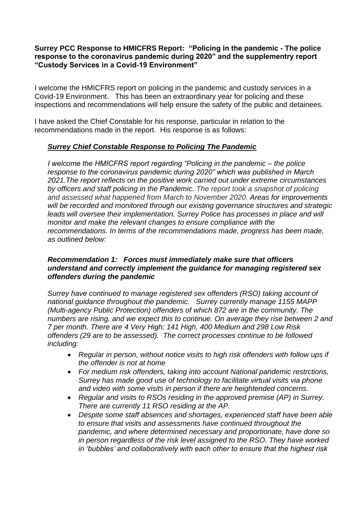## **Surrey PCC Response to HMICFRS Report: "Policing in the pandemic - The police response to the coronavirus pandemic during 2020" and the supplementry report "Custody Services in a Covid-19 Environment"**

I welcome the HMICFRS report on policing in the pandemic and custody services in a Covid-19 Environment. This has been an extraordinary year for policing and these inspections and recommendations will help ensure the safety of the public and detainees.

I have asked the Chief Constable for his response, particular in relation to the recommendations made in the report. His response is as follows:

# *Surrey Chief Constable Response to Policing The Pandemic*

*I welcome the HMICFRS report regarding "Policing in the pandemic – the police response to the coronavirus pandemic during 2020" which was published in March 2021.The report reflects on the positive work carried out under extreme circumstances by officers and staff policing in the Pandemic. The report took a snapshot of policing and assessed what happened from March to November 2020. Areas for improvements will be recorded and monitored through our existing governance structures and strategic leads will oversee their implementation. Surrey Police has processes in place and will monitor and make the relevant changes to ensure compliance with the recommendations. In terms of the recommendations made, progress has been made, as outlined below:*

## *Recommendation 1: Forces must immediately make sure that officers understand and correctly implement the guidance for managing registered sex offenders during the pandemic*

*Surrey have continued to manage registered sex offenders (RSO) taking account of national guidance throughout the pandemic. Surrey currently manage 1155 MAPP (Multi-agency Public Protection) offenders of which 872 are in the community. The numbers are rising, and we expect this to continue. On average they rise between 2 and 7 per month. There are 4 Very High; 141 High, 400 Medium and 298 Low Risk offenders (29 are to be assessed). The correct processes continue to be followed including:* 

- *Regular in person, without notice visits to high risk offenders with follow ups if the offender is not at home*
- *For medium risk offenders, taking into account National pandemic restrctions, Surrey has made good use of technology to facilitate virtual visits via phone and video with some visits in person if there are heightended concerns.*
- *Regular and visits to RSOs residing in the approved premise (AP) in Surrey. There are currently 11 RSO residing at the AP.*
- *Despite some staff absences and shortages, experienced staff have been able to ensure that visits and assessments have continued throughout the pandemic, and where determined necessary and proportionate, have done so in person regardless of the risk level assigned to the RSO. They have worked in 'bubbles' and collaboratively with each other to ensure that the highest risk*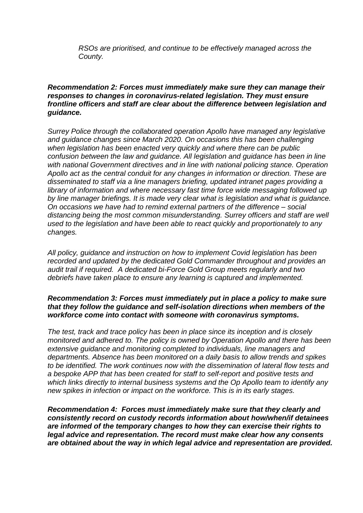*RSOs are prioritised, and continue to be effectively managed across the County.*

#### *Recommendation 2: Forces must immediately make sure they can manage their responses to changes in coronavirus-related legislation. They must ensure frontline officers and staff are clear about the difference between legislation and guidance.*

*Surrey Police through the collaborated operation Apollo have managed any legislative and guidance changes since March 2020. On occasions this has been challenging when legislation has been enacted very quickly and where there can be public confusion between the law and guidance. All legislation and guidance has been in line with national Government directives and in line with national policing stance. Operation Apollo act as the central conduit for any changes in information or direction. These are disseminated to staff via a line managers briefing, updated intranet pages providing a library of information and where necessary fast time force wide messaging followed up by line manager briefings. It is made very clear what is legislation and what is guidance. On occasions we have had to remind external partners of the difference – social distancing being the most common misunderstanding. Surrey officers and staff are well used to the legislation and have been able to react quickly and proportionately to any changes.*

*All policy, guidance and instruction on how to implement Covid legislation has been recorded and updated by the dedicated Gold Commander throughout and provides an audit trail if required. A dedicated bi-Force Gold Group meets regularly and two debriefs have taken place to ensure any learning is captured and implemented.*

#### *Recommendation 3: Forces must immediately put in place a policy to make sure that they follow the guidance and self-isolation directions when members of the workforce come into contact with someone with coronavirus symptoms.*

*The test, track and trace policy has been in place since its inception and is closely monitored and adhered to. The policy is owned by Operation Apollo and there has been extensive guidance and monitoring completed to individuals, line managers and departments. Absence has been monitored on a daily basis to allow trends and spikes to be identified. The work continues now with the dissemination of lateral flow tests and a bespoke APP that has been created for staff to self-report and positive tests and which links directly to internal business systems and the Op Apollo team to identify any new spikes in infection or impact on the workforce. This is in its early stages.*

*Recommendation 4: Forces must immediately make sure that they clearly and consistently record on custody records information about how/when/if detainees are informed of the temporary changes to how they can exercise their rights to legal advice and representation. The record must make clear how any consents are obtained about the way in which legal advice and representation are provided.*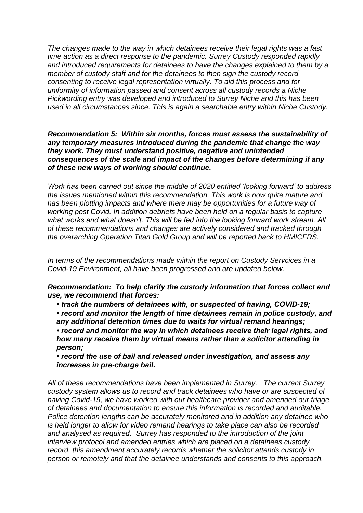*The changes made to the way in which detainees receive their legal rights was a fast time action as a direct response to the pandemic. Surrey Custody responded rapidly and introduced requirements for detainees to have the changes explained to them by a member of custody staff and for the detainees to then sign the custody record consenting to receive legal representation virtually. To aid this process and for uniformity of information passed and consent across all custody records a Niche Pickwording entry was developed and introduced to Surrey Niche and this has been used in all circumstances since. This is again a searchable entry within Niche Custody.*

*Recommendation 5: Within six months, forces must assess the sustainability of any temporary measures introduced during the pandemic that change the way they work. They must understand positive, negative and unintended consequences of the scale and impact of the changes before determining if any of these new ways of working should continue.*

*Work has been carried out since the middle of 2020 entitled 'looking forward' to address the issues mentioned within this recommendation. This work is now quite mature and has been plotting impacts and where there may be opportunities for a future way of working post Covid. In addition debriefs have been held on a regular basis to capture what works and what doesn't. This will be fed into the looking forward work stream. All of these recommendations and changes are actively considered and tracked through the overarching Operation Titan Gold Group and will be reported back to HMICFRS.*

*In terms of the recommendations made within the report on Custody Servcices in a Covid-19 Environment, all have been progressed and are updated below.* 

*Recommendation: To help clarify the custody information that forces collect and use, we recommend that forces:* 

*• track the numbers of detainees with, or suspected of having, COVID-19;* 

*• record and monitor the length of time detainees remain in police custody, and any additional detention times due to waits for virtual remand hearings; • record and monitor the way in which detainees receive their legal rights, and how many receive them by virtual means rather than a solicitor attending in person;* 

*• record the use of bail and released under investigation, and assess any increases in pre-charge bail.*

*All of these recommendations have been implemented in Surrey. The current Surrey custody system allows us to record and track detainees who have or are suspected of having Covid-19, we have worked with our healthcare provider and amended our triage of detainees and documentation to ensure this information is recorded and auditable. Police detention lengths can be accurately monitored and in addition any detainee who is held longer to allow for video remand hearings to take place can also be recorded and analysed as required. Surrey has responded to the introduction of the joint interview protocol and amended entries which are placed on a detainees custody record, this amendment accurately records whether the solicitor attends custody in person or remotely and that the detainee understands and consents to this approach.*